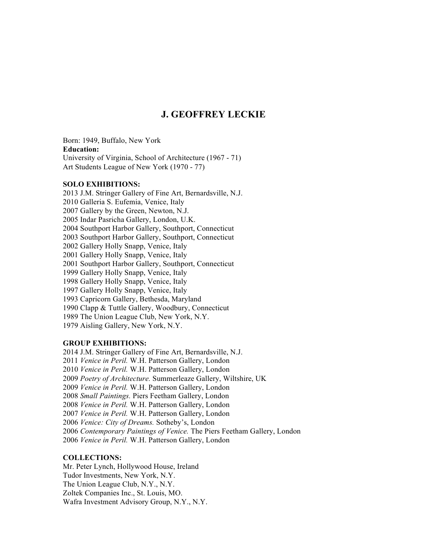## **J. GEOFFREY LECKIE**

Born: 1949, Buffalo, New York **Education:** University of Virginia, School of Architecture (1967 - 71) Art Students League of New York (1970 - 77)

## **SOLO EXHIBITIONS:**

2013 J.M. Stringer Gallery of Fine Art, Bernardsville, N.J. 2010 Galleria S. Eufemia, Venice, Italy 2007 Gallery by the Green, Newton, N.J. 2005 Indar Pasricha Gallery, London, U.K. 2004 Southport Harbor Gallery, Southport, Connecticut 2003 Southport Harbor Gallery, Southport, Connecticut 2002 Gallery Holly Snapp, Venice, Italy 2001 Gallery Holly Snapp, Venice, Italy 2001 Southport Harbor Gallery, Southport, Connecticut 1999 Gallery Holly Snapp, Venice, Italy 1998 Gallery Holly Snapp, Venice, Italy 1997 Gallery Holly Snapp, Venice, Italy 1993 Capricorn Gallery, Bethesda, Maryland 1990 Clapp & Tuttle Gallery, Woodbury, Connecticut 1989 The Union League Club, New York, N.Y. 1979 Aisling Gallery, New York, N.Y.

## **GROUP EXHIBITIONS:**

2014 J.M. Stringer Gallery of Fine Art, Bernardsville, N.J. *Venice in Peril.* W.H. Patterson Gallery, London *Venice in Peril.* W.H. Patterson Gallery, London *Poetry of Architecture.* Summerleaze Gallery, Wiltshire, UK *Venice in Peril.* W.H. Patterson Gallery, London *Small Paintings.* Piers Feetham Gallery, London *Venice in Peril.* W.H. Patterson Gallery, London *Venice in Peril.* W.H. Patterson Gallery, London *Venice: City of Dreams.* Sotheby's, London *Contemporary Paintings of Venice.* The Piers Feetham Gallery, London *Venice in Peril.* W.H. Patterson Gallery, London

## **COLLECTIONS:**

Mr. Peter Lynch, Hollywood House, Ireland Tudor Investments, New York, N.Y. The Union League Club, N.Y., N.Y. Zoltek Companies Inc., St. Louis, MO. Wafra Investment Advisory Group, N.Y., N.Y.